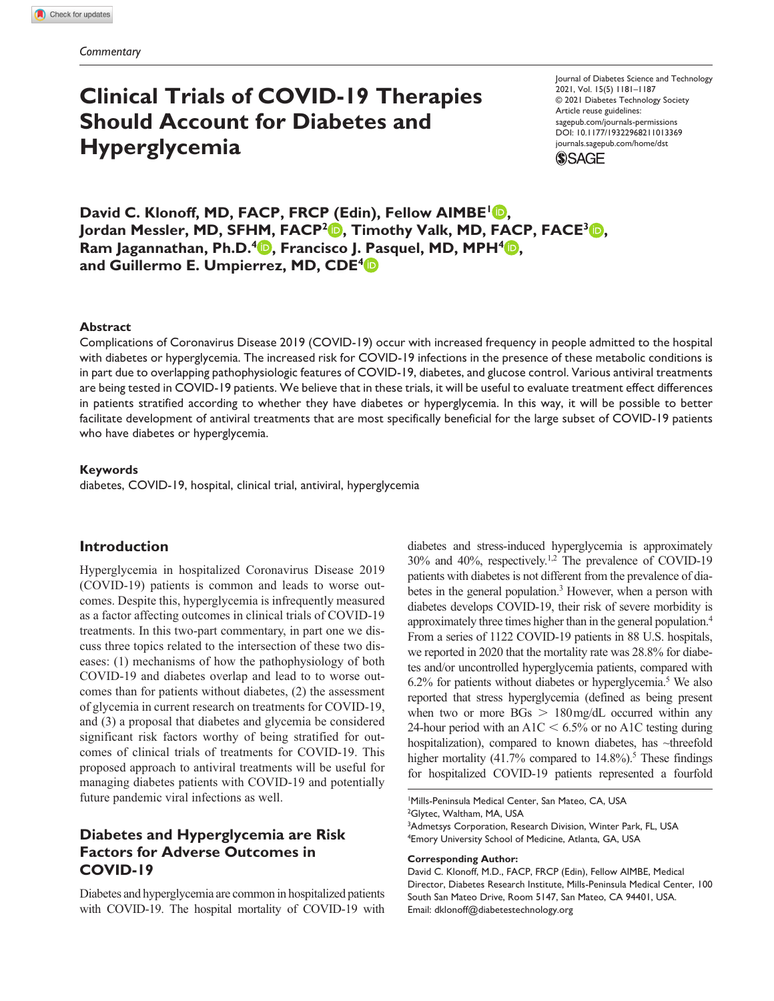# **Clinical Trials of COVID-19 Therapies Should Account for Diabetes and Hyperglycemia**

Journal of Diabetes Science and Technology 2021, Vol. 15(5) 1181–1187 © 2021 Diabetes Technology Society Article reuse guidelines: [sagepub.com/journals-permissions](https://us.sagepub.com/en-us/journals-permissions) https://doi.org/10.1177/19322968211013369 DOI: 10.1177/19322968211013369 [journals.sagepub.com/home/dst](https://journals.sagepub.com/home/dst) **SSAGE** 

**David C. Klonoff, MD, FACP, FRCP (Edin), Fellow AIMBE<sup>1</sup><sup>0</sup>,** Jordan Messler, MD, SFHM, FACP<sup>2</sup><sup>D</sup>, Timothy Valk, MD, FACP, FACE<sup>3</sup><sup>D</sup>, **Ram Jagannathan, Ph.D.<sup>4</sup> <b>D**, Francisco J. Pasquel, MD, MPH<sup>4</sup> **D**, **and Guillermo E. Umpierrez, MD, CDE4**

#### **Abstract**

Complications of Coronavirus Disease 2019 (COVID-19) occur with increased frequency in people admitted to the hospital with diabetes or hyperglycemia. The increased risk for COVID-19 infections in the presence of these metabolic conditions is in part due to overlapping pathophysiologic features of COVID-19, diabetes, and glucose control. Various antiviral treatments are being tested in COVID-19 patients. We believe that in these trials, it will be useful to evaluate treatment effect differences in patients stratified according to whether they have diabetes or hyperglycemia. In this way, it will be possible to better facilitate development of antiviral treatments that are most specifically beneficial for the large subset of COVID-19 patients who have diabetes or hyperglycemia.

#### **Keywords**

diabetes, COVID-19, hospital, clinical trial, antiviral, hyperglycemia

### **Introduction**

Hyperglycemia in hospitalized Coronavirus Disease 2019 (COVID-19) patients is common and leads to worse outcomes. Despite this, hyperglycemia is infrequently measured as a factor affecting outcomes in clinical trials of COVID-19 treatments. In this two-part commentary, in part one we discuss three topics related to the intersection of these two diseases: (1) mechanisms of how the pathophysiology of both COVID-19 and diabetes overlap and lead to to worse outcomes than for patients without diabetes, (2) the assessment of glycemia in current research on treatments for COVID-19, and (3) a proposal that diabetes and glycemia be considered significant risk factors worthy of being stratified for outcomes of clinical trials of treatments for COVID-19. This proposed approach to antiviral treatments will be useful for managing diabetes patients with COVID-19 and potentially future pandemic viral infections as well.

# **Diabetes and Hyperglycemia are Risk Factors for Adverse Outcomes in COVID-19**

Diabetes and hyperglycemia are common in hospitalized patients with COVID-19. The hospital mortality of COVID-19 with diabetes and stress-induced hyperglycemia is approximately 30% and 40%, respectively.1,2 The prevalence of COVID-19 patients with diabetes is not different from the prevalence of diabetes in the general population.<sup>3</sup> However, when a person with diabetes develops COVID-19, their risk of severe morbidity is approximately three times higher than in the general population.4 From a series of 1122 COVID-19 patients in 88 U.S. hospitals, we reported in 2020 that the mortality rate was 28.8% for diabetes and/or uncontrolled hyperglycemia patients, compared with  $6.2\%$  for patients without diabetes or hyperglycemia.<sup>5</sup> We also reported that stress hyperglycemia (defined as being present when two or more  $\text{BGs} > 180 \text{ mg/dL}$  occurred within any 24-hour period with an A1C  $\leq 6.5\%$  or no A1C testing during hospitalization), compared to known diabetes, has ~threefold higher mortality (41.7% compared to  $14.8\%$ ).<sup>5</sup> These findings for hospitalized COVID-19 patients represented a fourfold

1 Mills-Peninsula Medical Center, San Mateo, CA, USA <sup>2</sup>Glytec, Waltham, MA, USA <sup>3</sup>Admetsys Corporation, Research Division, Winter Park, FL, USA 4 Emory University School of Medicine, Atlanta, GA, USA

#### **Corresponding Author:**

David C. Klonoff, M.D., FACP, FRCP (Edin), Fellow AIMBE, Medical Director, Diabetes Research Institute, Mills-Peninsula Medical Center, 100 South San Mateo Drive, Room 5147, San Mateo, CA 94401, USA. Email: [dklonoff@diabetestechnology.org](mailto:dklonoff@diabetestechnology.org)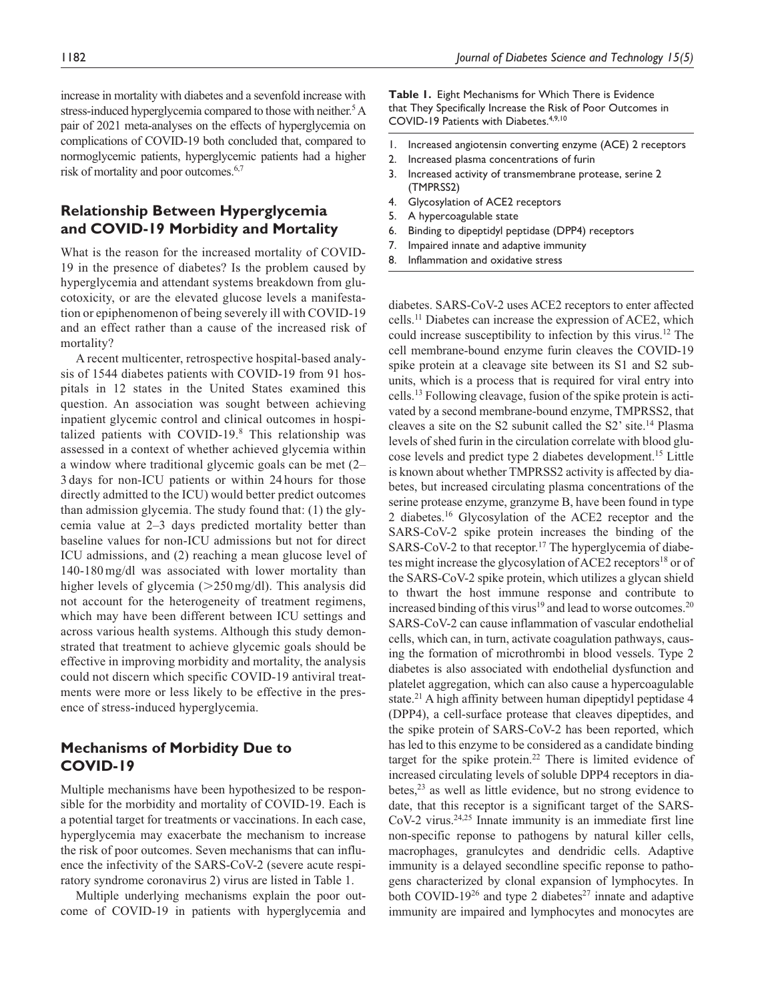increase in mortality with diabetes and a sevenfold increase with stress-induced hyperglycemia compared to those with neither.<sup>5</sup> A pair of 2021 meta-analyses on the effects of hyperglycemia on complications of COVID-19 both concluded that, compared to normoglycemic patients, hyperglycemic patients had a higher risk of mortality and poor outcomes.<sup>6,7</sup>

## **Relationship Between Hyperglycemia and COVID-19 Morbidity and Mortality**

What is the reason for the increased mortality of COVID-19 in the presence of diabetes? Is the problem caused by hyperglycemia and attendant systems breakdown from glucotoxicity, or are the elevated glucose levels a manifestation or epiphenomenon of being severely ill with COVID-19 and an effect rather than a cause of the increased risk of mortality?

A recent multicenter, retrospective hospital-based analysis of 1544 diabetes patients with COVID-19 from 91 hospitals in 12 states in the United States examined this question. An association was sought between achieving inpatient glycemic control and clinical outcomes in hospitalized patients with COVID-19.8 This relationship was assessed in a context of whether achieved glycemia within a window where traditional glycemic goals can be met (2– 3 days for non-ICU patients or within 24 hours for those directly admitted to the ICU) would better predict outcomes than admission glycemia. The study found that: (1) the glycemia value at 2–3 days predicted mortality better than baseline values for non-ICU admissions but not for direct ICU admissions, and (2) reaching a mean glucose level of 140-180mg/dl was associated with lower mortality than higher levels of glycemia ( $>250 \,\text{mg/dl}$ ). This analysis did not account for the heterogeneity of treatment regimens, which may have been different between ICU settings and across various health systems. Although this study demonstrated that treatment to achieve glycemic goals should be effective in improving morbidity and mortality, the analysis could not discern which specific COVID-19 antiviral treatments were more or less likely to be effective in the presence of stress-induced hyperglycemia.

## **Mechanisms of Morbidity Due to COVID-19**

Multiple mechanisms have been hypothesized to be responsible for the morbidity and mortality of COVID-19. Each is a potential target for treatments or vaccinations. In each case, hyperglycemia may exacerbate the mechanism to increase the risk of poor outcomes. Seven mechanisms that can influence the infectivity of the SARS-CoV-2 (severe acute respiratory syndrome coronavirus 2) virus are listed in Table 1.

Multiple underlying mechanisms explain the poor outcome of COVID-19 in patients with hyperglycemia and **Table 1.** Eight Mechanisms for Which There is Evidence that They Specifically Increase the Risk of Poor Outcomes in COVID-19 Patients with Diabetes.<sup>4,9,10</sup>

- 1. Increased angiotensin converting enzyme (ACE) 2 receptors
- 2. Increased plasma concentrations of furin
- 3. Increased activity of transmembrane protease, serine 2 (TMPRSS2)
- 4. Glycosylation of ACE2 receptors
- 5. A hypercoagulable state
- 6. Binding to dipeptidyl peptidase (DPP4) receptors
- 7. Impaired innate and adaptive immunity
- 8. Inflammation and oxidative stress

diabetes. SARS-CoV-2 uses ACE2 receptors to enter affected cells.11 Diabetes can increase the expression of ACE2, which could increase susceptibility to infection by this virus.12 The cell membrane-bound enzyme furin cleaves the COVID-19 spike protein at a cleavage site between its S1 and S2 subunits, which is a process that is required for viral entry into cells.13 Following cleavage, fusion of the spike protein is activated by a second membrane-bound enzyme, TMPRSS2, that cleaves a site on the S2 subunit called the S2' site.14 Plasma levels of shed furin in the circulation correlate with blood glucose levels and predict type 2 diabetes development.15 Little is known about whether TMPRSS2 activity is affected by diabetes, but increased circulating plasma concentrations of the serine protease enzyme, granzyme B, have been found in type 2 diabetes.16 Glycosylation of the ACE2 receptor and the SARS-CoV-2 spike protein increases the binding of the SARS-CoV-2 to that receptor.<sup>17</sup> The hyperglycemia of diabetes might increase the glycosylation of ACE2 receptors<sup>18</sup> or of the SARS-CoV-2 spike protein, which utilizes a glycan shield to thwart the host immune response and contribute to increased binding of this virus<sup>19</sup> and lead to worse outcomes.<sup>20</sup> SARS-CoV-2 can cause inflammation of vascular endothelial cells, which can, in turn, activate coagulation pathways, causing the formation of microthrombi in blood vessels. Type 2 diabetes is also associated with endothelial dysfunction and platelet aggregation, which can also cause a hypercoagulable state.<sup>21</sup> A high affinity between human dipeptidyl peptidase 4 (DPP4), a cell-surface protease that cleaves dipeptides, and the spike protein of SARS-CoV-2 has been reported, which has led to this enzyme to be considered as a candidate binding target for the spike protein.<sup>22</sup> There is limited evidence of increased circulating levels of soluble DPP4 receptors in diabetes, $2<sup>3</sup>$  as well as little evidence, but no strong evidence to date, that this receptor is a significant target of the SARS-CoV-2 virus.<sup>24,25</sup> Innate immunity is an immediate first line non-specific reponse to pathogens by natural killer cells, macrophages, granulcytes and dendridic cells. Adaptive immunity is a delayed secondline specific reponse to pathogens characterized by clonal expansion of lymphocytes. In both COVID-19<sup>26</sup> and type 2 diabetes<sup>27</sup> innate and adaptive immunity are impaired and lymphocytes and monocytes are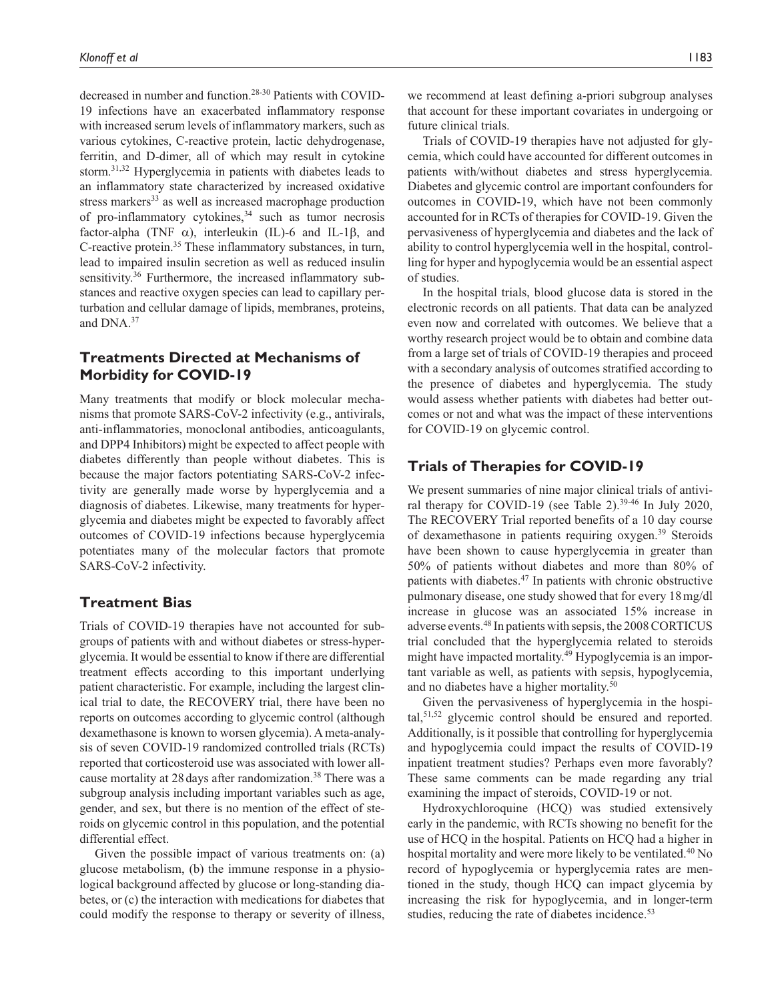decreased in number and function.28-30 Patients with COVID-19 infections have an exacerbated inflammatory response with increased serum levels of inflammatory markers, such as various cytokines, C-reactive protein, lactic dehydrogenase, ferritin, and D-dimer, all of which may result in cytokine storm.31,32 Hyperglycemia in patients with diabetes leads to an inflammatory state characterized by increased oxidative stress markers<sup>33</sup> as well as increased macrophage production of pro-inflammatory cytokines, $34$  such as tumor necrosis factor-alpha (TNF  $\alpha$ ), interleukin (IL)-6 and IL-1 $\beta$ , and C-reactive protein.35 These inflammatory substances, in turn, lead to impaired insulin secretion as well as reduced insulin sensitivity.<sup>36</sup> Furthermore, the increased inflammatory substances and reactive oxygen species can lead to capillary perturbation and cellular damage of lipids, membranes, proteins, and DNA.37

## **Treatments Directed at Mechanisms of Morbidity for COVID-19**

Many treatments that modify or block molecular mechanisms that promote SARS-CoV-2 infectivity (e.g., antivirals, anti-inflammatories, monoclonal antibodies, anticoagulants, and DPP4 Inhibitors) might be expected to affect people with diabetes differently than people without diabetes. This is because the major factors potentiating SARS-CoV-2 infectivity are generally made worse by hyperglycemia and a diagnosis of diabetes. Likewise, many treatments for hyperglycemia and diabetes might be expected to favorably affect outcomes of COVID-19 infections because hyperglycemia potentiates many of the molecular factors that promote SARS-CoV-2 infectivity.

## **Treatment Bias**

Trials of COVID-19 therapies have not accounted for subgroups of patients with and without diabetes or stress-hyperglycemia. It would be essential to know if there are differential treatment effects according to this important underlying patient characteristic. For example, including the largest clinical trial to date, the RECOVERY trial, there have been no reports on outcomes according to glycemic control (although dexamethasone is known to worsen glycemia). A meta-analysis of seven COVID-19 randomized controlled trials (RCTs) reported that corticosteroid use was associated with lower allcause mortality at 28 days after randomization.<sup>38</sup> There was a subgroup analysis including important variables such as age, gender, and sex, but there is no mention of the effect of steroids on glycemic control in this population, and the potential differential effect.

Given the possible impact of various treatments on: (a) glucose metabolism, (b) the immune response in a physiological background affected by glucose or long-standing diabetes, or (c) the interaction with medications for diabetes that could modify the response to therapy or severity of illness,

we recommend at least defining a-priori subgroup analyses that account for these important covariates in undergoing or future clinical trials.

Trials of COVID-19 therapies have not adjusted for glycemia, which could have accounted for different outcomes in patients with/without diabetes and stress hyperglycemia. Diabetes and glycemic control are important confounders for outcomes in COVID-19, which have not been commonly accounted for in RCTs of therapies for COVID-19. Given the pervasiveness of hyperglycemia and diabetes and the lack of ability to control hyperglycemia well in the hospital, controlling for hyper and hypoglycemia would be an essential aspect of studies.

In the hospital trials, blood glucose data is stored in the electronic records on all patients. That data can be analyzed even now and correlated with outcomes. We believe that a worthy research project would be to obtain and combine data from a large set of trials of COVID-19 therapies and proceed with a secondary analysis of outcomes stratified according to the presence of diabetes and hyperglycemia. The study would assess whether patients with diabetes had better outcomes or not and what was the impact of these interventions for COVID-19 on glycemic control.

## **Trials of Therapies for COVID-19**

We present summaries of nine major clinical trials of antiviral therapy for COVID-19 (see Table 2).<sup>39-46</sup> In July 2020, The RECOVERY Trial reported benefits of a 10 day course of dexamethasone in patients requiring oxygen.<sup>39</sup> Steroids have been shown to cause hyperglycemia in greater than 50% of patients without diabetes and more than 80% of patients with diabetes.<sup>47</sup> In patients with chronic obstructive pulmonary disease, one study showed that for every 18mg/dl increase in glucose was an associated 15% increase in adverse events.48 In patients with sepsis, the 2008 CORTICUS trial concluded that the hyperglycemia related to steroids might have impacted mortality.<sup>49</sup> Hypoglycemia is an important variable as well, as patients with sepsis, hypoglycemia, and no diabetes have a higher mortality.<sup>50</sup>

Given the pervasiveness of hyperglycemia in the hospital,<sup>51,52</sup> glycemic control should be ensured and reported. Additionally, is it possible that controlling for hyperglycemia and hypoglycemia could impact the results of COVID-19 inpatient treatment studies? Perhaps even more favorably? These same comments can be made regarding any trial examining the impact of steroids, COVID-19 or not.

Hydroxychloroquine (HCQ) was studied extensively early in the pandemic, with RCTs showing no benefit for the use of HCQ in the hospital. Patients on HCQ had a higher in hospital mortality and were more likely to be ventilated.<sup>40</sup> No record of hypoglycemia or hyperglycemia rates are mentioned in the study, though HCQ can impact glycemia by increasing the risk for hypoglycemia, and in longer-term studies, reducing the rate of diabetes incidence.<sup>53</sup>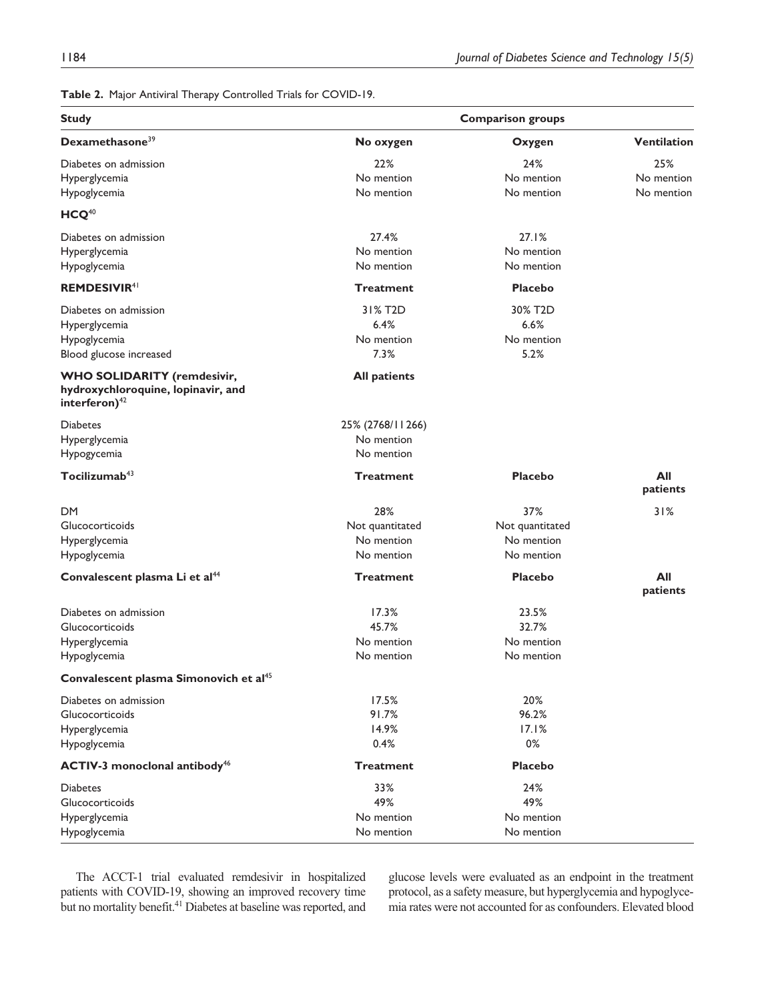**Table 2.** Major Antiviral Therapy Controlled Trials for COVID-19.

| <b>Study</b><br>Dexamethasone <sup>39</sup>                                                           | <b>Comparison groups</b> |                      |                    |
|-------------------------------------------------------------------------------------------------------|--------------------------|----------------------|--------------------|
|                                                                                                       | No oxygen                | Oxygen               | <b>Ventilation</b> |
| Diabetes on admission                                                                                 | 22%                      | 24%                  | 25%                |
| Hyperglycemia                                                                                         | No mention               | No mention           | No mention         |
| Hypoglycemia                                                                                          | No mention               | No mention           | No mention         |
| $HCQ^{40}$                                                                                            |                          |                      |                    |
| Diabetes on admission                                                                                 | 27.4%                    | 27.1%                |                    |
| Hyperglycemia                                                                                         | No mention               | No mention           |                    |
| Hypoglycemia                                                                                          | No mention               | No mention           |                    |
| <b>REMDESIVIR41</b>                                                                                   | Treatment                | <b>Placebo</b>       |                    |
| Diabetes on admission                                                                                 | 31% T <sub>2</sub> D     | 30% T <sub>2</sub> D |                    |
| Hyperglycemia                                                                                         | 6.4%                     | 6.6%                 |                    |
| Hypoglycemia                                                                                          | No mention               | No mention           |                    |
| Blood glucose increased                                                                               | 7.3%                     | 5.2%                 |                    |
| <b>WHO SOLIDARITY (remdesivir,</b><br>hydroxychloroquine, lopinavir, and<br>interferon) <sup>42</sup> | <b>All patients</b>      |                      |                    |
| <b>Diabetes</b>                                                                                       | 25% (2768/11266)         |                      |                    |
| Hyperglycemia                                                                                         | No mention               |                      |                    |
| Hypogycemia                                                                                           | No mention               |                      |                    |
| Tocilizumab <sup>43</sup>                                                                             | Treatment                | <b>Placebo</b>       | All<br>patients    |
| DM                                                                                                    | 28%                      | 37%                  | 31%                |
| Glucocorticoids                                                                                       | Not quantitated          | Not quantitated      |                    |
| Hyperglycemia                                                                                         | No mention               | No mention           |                    |
| Hypoglycemia                                                                                          | No mention               | No mention           |                    |
| Convalescent plasma Li et al <sup>44</sup>                                                            | <b>Treatment</b>         | <b>Placebo</b>       | All<br>patients    |
| Diabetes on admission                                                                                 | 17.3%                    | 23.5%                |                    |
| Glucocorticoids                                                                                       | 45.7%                    | 32.7%                |                    |
| Hyperglycemia                                                                                         | No mention               | No mention           |                    |
| Hypoglycemia                                                                                          | No mention               | No mention           |                    |
| Convalescent plasma Simonovich et al <sup>45</sup>                                                    |                          |                      |                    |
| Diabetes on admission                                                                                 | 17.5%                    | 20%                  |                    |
| Glucocorticoids                                                                                       | 91.7%                    | 96.2%                |                    |
| Hyperglycemia                                                                                         | 14.9%                    | 17.1%                |                    |
| Hypoglycemia                                                                                          | 0.4%                     | 0%                   |                    |
| ACTIV-3 monoclonal antibody <sup>46</sup>                                                             | <b>Treatment</b>         | <b>Placebo</b>       |                    |
| <b>Diabetes</b>                                                                                       | 33%                      | 24%                  |                    |
| Glucocorticoids                                                                                       | 49%                      | 49%                  |                    |
| Hyperglycemia                                                                                         | No mention               | No mention           |                    |
| Hypoglycemia                                                                                          | No mention               | No mention           |                    |

The ACCT-1 trial evaluated remdesivir in hospitalized patients with COVID-19, showing an improved recovery time but no mortality benefit.<sup>41</sup> Diabetes at baseline was reported, and glucose levels were evaluated as an endpoint in the treatment protocol, as a safety measure, but hyperglycemia and hypoglycemia rates were not accounted for as confounders. Elevated blood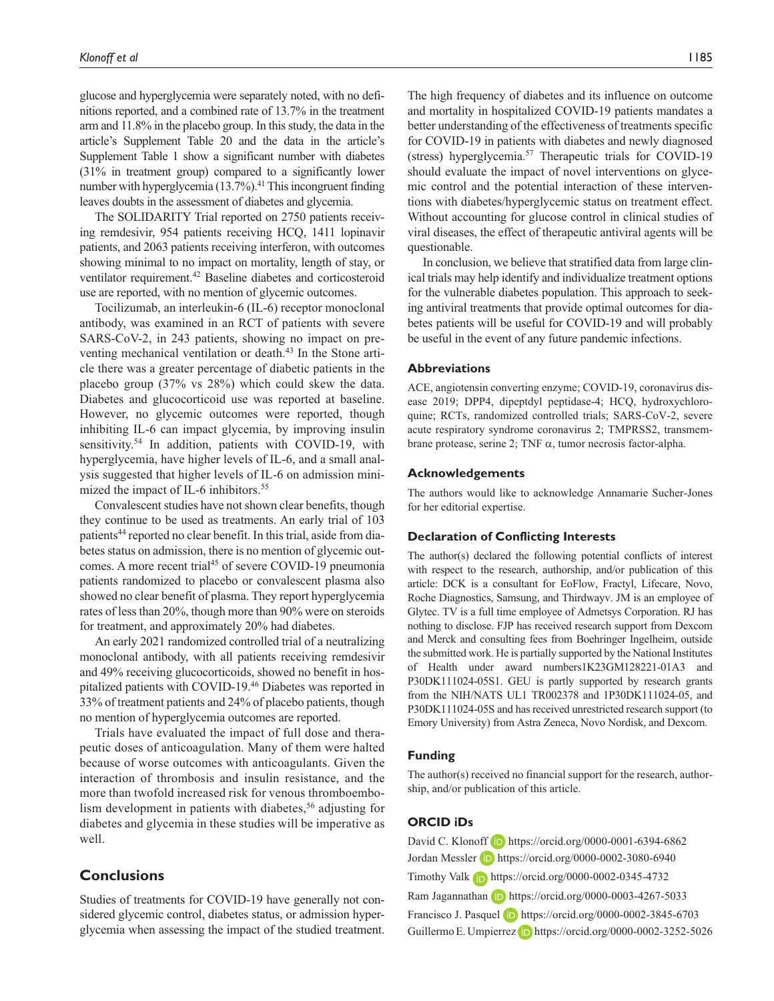glucose and hyperglycemia were separately noted, with no definitions reported, and a combined rate of 13.7% in the treatment arm and 11.8% in the placebo group. In this study, the data in the article's Supplement Table 20 and the data in the article's Supplement Table 1 show a significant number with diabetes (31% in treatment group) compared to a significantly lower number with hyperglycemia  $(13.7\%)$ .<sup>41</sup> This incongruent finding leaves doubts in the assessment of diabetes and glycemia.

The SOLIDARITY Trial reported on 2750 patients receiving remdesivir, 954 patients receiving HCQ, 1411 lopinavir patients, and 2063 patients receiving interferon, with outcomes showing minimal to no impact on mortality, length of stay, or ventilator requirement.<sup>42</sup> Baseline diabetes and corticosteroid use are reported, with no mention of glycemic outcomes.

Tocilizumab, an interleukin-6 (IL-6) receptor monoclonal antibody, was examined in an RCT of patients with severe SARS-CoV-2, in 243 patients, showing no impact on preventing mechanical ventilation or death.43 In the Stone article there was a greater percentage of diabetic patients in the placebo group (37% vs 28%) which could skew the data. Diabetes and glucocorticoid use was reported at baseline. However, no glycemic outcomes were reported, though inhibiting IL-6 can impact glycemia, by improving insulin sensitivity.<sup>54</sup> In addition, patients with COVID-19, with hyperglycemia, have higher levels of IL-6, and a small analysis suggested that higher levels of IL-6 on admission minimized the impact of IL-6 inhibitors.<sup>55</sup>

Convalescent studies have not shown clear benefits, though they continue to be used as treatments. An early trial of 103 patients<sup>44</sup> reported no clear benefit. In this trial, aside from diabetes status on admission, there is no mention of glycemic outcomes. A more recent trial<sup>45</sup> of severe COVID-19 pneumonia patients randomized to placebo or convalescent plasma also showed no clear benefit of plasma. They report hyperglycemia rates of less than 20%, though more than 90% were on steroids for treatment, and approximately 20% had diabetes.

An early 2021 randomized controlled trial of a neutralizing monoclonal antibody, with all patients receiving remdesivir and 49% receiving glucocorticoids, showed no benefit in hospitalized patients with COVID-19.46 Diabetes was reported in 33% of treatment patients and 24% of placebo patients, though no mention of hyperglycemia outcomes are reported.

Trials have evaluated the impact of full dose and therapeutic doses of anticoagulation. Many of them were halted because of worse outcomes with anticoagulants. Given the interaction of thrombosis and insulin resistance, and the more than twofold increased risk for venous thromboembolism development in patients with diabetes,<sup>56</sup> adjusting for diabetes and glycemia in these studies will be imperative as well.

## **Conclusions**

Studies of treatments for COVID-19 have generally not considered glycemic control, diabetes status, or admission hyperglycemia when assessing the impact of the studied treatment.

The high frequency of diabetes and its influence on outcome and mortality in hospitalized COVID-19 patients mandates a better understanding of the effectiveness of treatments specific for COVID-19 in patients with diabetes and newly diagnosed (stress) hyperglycemia.57 Therapeutic trials for COVID-19 should evaluate the impact of novel interventions on glycemic control and the potential interaction of these interventions with diabetes/hyperglycemic status on treatment effect. Without accounting for glucose control in clinical studies of viral diseases, the effect of therapeutic antiviral agents will be questionable.

In conclusion, we believe that stratified data from large clinical trials may help identify and individualize treatment options for the vulnerable diabetes population. This approach to seeking antiviral treatments that provide optimal outcomes for diabetes patients will be useful for COVID-19 and will probably be useful in the event of any future pandemic infections.

#### **Abbreviations**

ACE, angiotensin converting enzyme; COVID-19, coronavirus disease 2019; DPP4, dipeptdyl peptidase-4; HCQ, hydroxychloroquine; RCTs, randomized controlled trials; SARS-CoV-2, severe acute respiratory syndrome coronavirus 2; TMPRSS2, transmembrane protease, serine 2; TNF α, tumor necrosis factor-alpha.

#### **Acknowledgements**

The authors would like to acknowledge Annamarie Sucher-Jones for her editorial expertise.

#### **Declaration of Conflicting Interests**

The author(s) declared the following potential conflicts of interest with respect to the research, authorship, and/or publication of this article: DCK is a consultant for EoFlow, Fractyl, Lifecare, Novo, Roche Diagnostics, Samsung, and Thirdwayv. JM is an employee of Glytec. TV is a full time employee of Admetsys Corporation. RJ has nothing to disclose. FJP has received research support from Dexcom and Merck and consulting fees from Boehringer Ingelheim, outside the submitted work. He is partially supported by the National Institutes of Health under award numbers1K23GM128221-01A3 and P30DK111024-05S1. GEU is partly supported by research grants from the NIH/NATS UL1 TR002378 and 1P30DK111024-05, and P30DK111024-05S and has received unrestricted research support (to Emory University) from Astra Zeneca, Novo Nordisk, and Dexcom.

## **Funding**

The author(s) received no financial support for the research, authorship, and/or publication of this article.

### **ORCID iDs**

David C. Klonoff **iD** <https://orcid.org/0000-0001-6394-6862> Jordan Messler **D** <https://orcid.org/0000-0002-3080-6940> Timothy Valk **h** <https://orcid.org/0000-0002-0345-4732> Ram Jagannathan (D) <https://orcid.org/0000-0003-4267-5033> Francisco J. Pasquel **iD** <https://orcid.org/0000-0002-3845-6703> Guillermo E. Umpierrez **D** <https://orcid.org/0000-0002-3252-5026>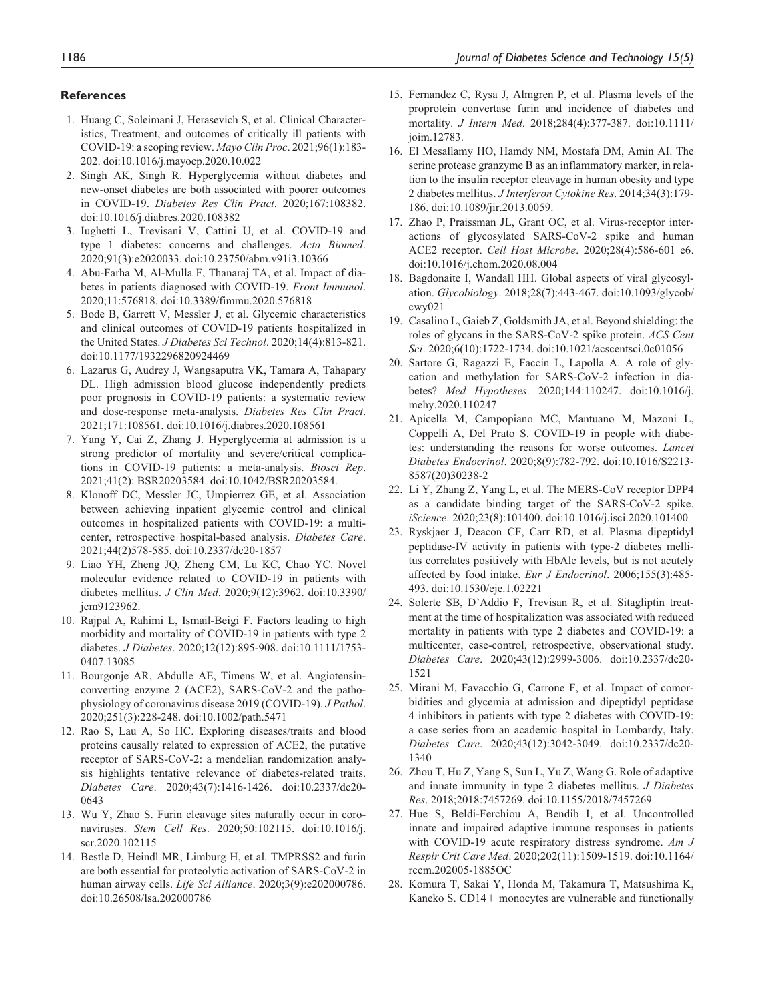#### **References**

- 1. Huang C, Soleimani J, Herasevich S, et al. Clinical Characteristics, Treatment, and outcomes of critically ill patients with COVID-19: a scoping review. *Mayo Clin Proc*. 2021;96(1):183- 202. doi:10.1016/j.mayocp.2020.10.022
- 2. Singh AK, Singh R. Hyperglycemia without diabetes and new-onset diabetes are both associated with poorer outcomes in COVID-19. *Diabetes Res Clin Pract*. 2020;167:108382. doi:10.1016/j.diabres.2020.108382
- 3. Iughetti L, Trevisani V, Cattini U, et al. COVID-19 and type 1 diabetes: concerns and challenges. *Acta Biomed*. 2020;91(3):e2020033. doi:10.23750/abm.v91i3.10366
- 4. Abu-Farha M, Al-Mulla F, Thanaraj TA, et al. Impact of diabetes in patients diagnosed with COVID-19. *Front Immunol*. 2020;11:576818. doi:10.3389/fimmu.2020.576818
- 5. Bode B, Garrett V, Messler J, et al. Glycemic characteristics and clinical outcomes of COVID-19 patients hospitalized in the United States. *J Diabetes Sci Technol*. 2020;14(4):813-821. doi:10.1177/1932296820924469
- 6. Lazarus G, Audrey J, Wangsaputra VK, Tamara A, Tahapary DL. High admission blood glucose independently predicts poor prognosis in COVID-19 patients: a systematic review and dose-response meta-analysis. *Diabetes Res Clin Pract*. 2021;171:108561. doi:10.1016/j.diabres.2020.108561
- 7. Yang Y, Cai Z, Zhang J. Hyperglycemia at admission is a strong predictor of mortality and severe/critical complications in COVID-19 patients: a meta-analysis. *Biosci Rep*. 2021;41(2): BSR20203584. doi:10.1042/BSR20203584.
- 8. Klonoff DC, Messler JC, Umpierrez GE, et al. Association between achieving inpatient glycemic control and clinical outcomes in hospitalized patients with COVID-19: a multicenter, retrospective hospital-based analysis. *Diabetes Care*. 2021;44(2)578-585. doi:10.2337/dc20-1857
- 9. Liao YH, Zheng JQ, Zheng CM, Lu KC, Chao YC. Novel molecular evidence related to COVID-19 in patients with diabetes mellitus. *J Clin Med*. 2020;9(12):3962. doi:10.3390/ jcm9123962.
- 10. Rajpal A, Rahimi L, Ismail-Beigi F. Factors leading to high morbidity and mortality of COVID-19 in patients with type 2 diabetes. *J Diabetes*. 2020;12(12):895-908. doi:10.1111/1753- 0407.13085
- 11. Bourgonje AR, Abdulle AE, Timens W, et al. Angiotensinconverting enzyme 2 (ACE2), SARS-CoV-2 and the pathophysiology of coronavirus disease 2019 (COVID-19). *J Pathol*. 2020;251(3):228-248. doi:10.1002/path.5471
- 12. Rao S, Lau A, So HC. Exploring diseases/traits and blood proteins causally related to expression of ACE2, the putative receptor of SARS-CoV-2: a mendelian randomization analysis highlights tentative relevance of diabetes-related traits. *Diabetes Care*. 2020;43(7):1416-1426. doi:10.2337/dc20- 0643
- 13. Wu Y, Zhao S. Furin cleavage sites naturally occur in coronaviruses. *Stem Cell Res*. 2020;50:102115. doi:10.1016/j. scr.2020.102115
- 14. Bestle D, Heindl MR, Limburg H, et al. TMPRSS2 and furin are both essential for proteolytic activation of SARS-CoV-2 in human airway cells. *Life Sci Alliance*. 2020;3(9):e202000786. doi:10.26508/lsa.202000786
- 15. Fernandez C, Rysa J, Almgren P, et al. Plasma levels of the proprotein convertase furin and incidence of diabetes and mortality. *J Intern Med*. 2018;284(4):377-387. doi:10.1111/ joim.12783.
- 16. El Mesallamy HO, Hamdy NM, Mostafa DM, Amin AI. The serine protease granzyme B as an inflammatory marker, in relation to the insulin receptor cleavage in human obesity and type 2 diabetes mellitus. *J Interferon Cytokine Res*. 2014;34(3):179- 186. doi:10.1089/jir.2013.0059.
- 17. Zhao P, Praissman JL, Grant OC, et al. Virus-receptor interactions of glycosylated SARS-CoV-2 spike and human ACE2 receptor. *Cell Host Microbe*. 2020;28(4):586-601 e6. doi:10.1016/j.chom.2020.08.004
- 18. Bagdonaite I, Wandall HH. Global aspects of viral glycosylation. *Glycobiology*. 2018;28(7):443-467. doi:10.1093/glycob/ cwy021
- 19. Casalino L, Gaieb Z, Goldsmith JA, et al. Beyond shielding: the roles of glycans in the SARS-CoV-2 spike protein. *ACS Cent Sci*. 2020;6(10):1722-1734. doi:10.1021/acscentsci.0c01056
- 20. Sartore G, Ragazzi E, Faccin L, Lapolla A. A role of glycation and methylation for SARS-CoV-2 infection in diabetes? *Med Hypotheses*. 2020;144:110247. doi:10.1016/j. mehy.2020.110247
- 21. Apicella M, Campopiano MC, Mantuano M, Mazoni L, Coppelli A, Del Prato S. COVID-19 in people with diabetes: understanding the reasons for worse outcomes. *Lancet Diabetes Endocrinol*. 2020;8(9):782-792. doi:10.1016/S2213- 8587(20)30238-2
- 22. Li Y, Zhang Z, Yang L, et al. The MERS-CoV receptor DPP4 as a candidate binding target of the SARS-CoV-2 spike. *iScience*. 2020;23(8):101400. doi:10.1016/j.isci.2020.101400
- 23. Ryskjaer J, Deacon CF, Carr RD, et al. Plasma dipeptidyl peptidase-IV activity in patients with type-2 diabetes mellitus correlates positively with HbAlc levels, but is not acutely affected by food intake. *Eur J Endocrinol*. 2006;155(3):485- 493. doi:10.1530/eje.1.02221
- 24. Solerte SB, D'Addio F, Trevisan R, et al. Sitagliptin treatment at the time of hospitalization was associated with reduced mortality in patients with type 2 diabetes and COVID-19: a multicenter, case-control, retrospective, observational study. *Diabetes Care*. 2020;43(12):2999-3006. doi:10.2337/dc20- 1521
- 25. Mirani M, Favacchio G, Carrone F, et al. Impact of comorbidities and glycemia at admission and dipeptidyl peptidase 4 inhibitors in patients with type 2 diabetes with COVID-19: a case series from an academic hospital in Lombardy, Italy. *Diabetes Care*. 2020;43(12):3042-3049. doi:10.2337/dc20- 1340
- 26. Zhou T, Hu Z, Yang S, Sun L, Yu Z, Wang G. Role of adaptive and innate immunity in type 2 diabetes mellitus. *J Diabetes Res*. 2018;2018:7457269. doi:10.1155/2018/7457269
- 27. Hue S, Beldi-Ferchiou A, Bendib I, et al. Uncontrolled innate and impaired adaptive immune responses in patients with COVID-19 acute respiratory distress syndrome. *Am J Respir Crit Care Med*. 2020;202(11):1509-1519. doi:10.1164/ rccm.202005-1885OC
- 28. Komura T, Sakai Y, Honda M, Takamura T, Matsushima K, Kaneko S. CD14+ monocytes are vulnerable and functionally